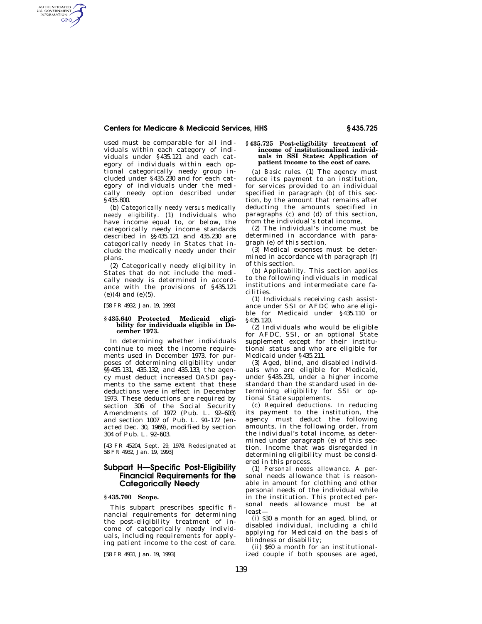### **Centers for Medicare & Medicaid Services, HHS § 435.725**

used must be comparable for all individuals within each category of individuals under §435.121 and each category of individuals within each optional categorically needy group included under §435.230 and for each category of individuals under the medically needy option described under §435.800.

(b) *Categorically needy versus medically needy eligibility.* (1) Individuals who have income equal to, or below, the categorically needy income standards described in §§435.121 and 435.230 are categorically needy in States that include the medically needy under their plans.

(2) Categorically needy eligibility in States that do not include the medically needy is determined in accordance with the provisions of §435.121  $(e)(4)$  and  $(e)(5)$ .

[58 FR 4932, Jan. 19, 1993]

AUTHENTICATED<br>U.S. GOVERNMENT<br>INFORMATION GPO

#### **§ 435.640 Protected Medicaid eligibility for individuals eligible in December 1973.**

In determining whether individuals continue to meet the income requirements used in December 1973, for purposes of determining eligibility under §§435.131, 435.132, and 435.133, the agency must deduct increased OASDI payments to the same extent that these deductions were in effect in December 1973. These deductions are required by section 306 of the Social Security Amendments of 1972 (Pub. L. 92–603) and section 1007 of Pub. L. 91–172 (enacted Dec. 30, 1969), modified by section 304 of Pub. L. 92–603.

[43 FR 45204, Sept. 29, 1978. Redesignated at 58 FR 4932, Jan. 19, 1993]

# **Subpart H—Specific Post-Eligibility Financial Requirements for the Categorically Needy**

### **§ 435.700 Scope.**

This subpart prescribes specific financial requirements for determining the post-eligibility treatment of income of categorically needy individuals, including requirements for applying patient income to the cost of care.

[58 FR 4931, Jan. 19, 1993]

#### **§ 435.725 Post-eligibility treatment of income of institutionalized individuals in SSI States: Application of patient income to the cost of care.**

(a) *Basic rules.* (1) The agency must reduce its payment to an institution, for services provided to an individual specified in paragraph (b) of this section, by the amount that remains after deducting the amounts specified in paragraphs (c) and (d) of this section, from the individual's total income,

(2) The individual's income must be determined in accordance with paragraph (e) of this section.

(3) Medical expenses must be determined in accordance with paragraph (f) of this section.

(b) *Applicability.* This section applies to the following individuals in medical institutions and intermediate care facilities.

(1) Individuals receiving cash assistance under SSI or AFDC who are eligible for Medicaid under §435.110 or §435.120.

(2) Individuals who would be eligible for AFDC, SSI, or an optional State supplement except for their institutional status and who are eligible for Medicaid under §435.211.

(3) Aged, blind, and disabled individuals who are eligible for Medicaid, under §435.231, under a higher income standard than the standard used in determining eligibility for SSI or optional State supplements.

(c) *Required deductions.* In reducing its payment to the institution, the agency must deduct the following amounts, in the following order, from the individual's total income, as determined under paragraph (e) of this section. Income that was disregarded in determining eligibility must be considered in this process.

(1) *Personal needs allowance.* A personal needs allowance that is reasonable in amount for clothing and other personal needs of the individual while in the institution. This protected personal needs allowance must be at least—

(i) \$30 a month for an aged, blind, or disabled individual, including a child applying for Medicaid on the basis of blindness or disability;

(ii) \$60 a month for an institutionalized couple if both spouses are aged,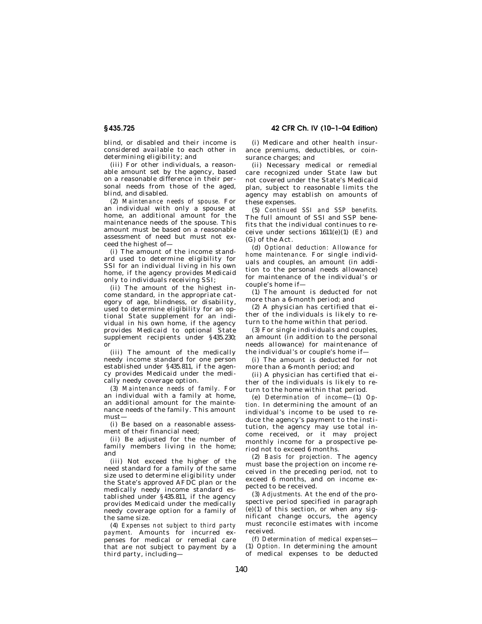blind, or disabled and their income is considered available to each other in determining eligibility; and

(iii) For other individuals, a reasonable amount set by the agency, based on a reasonable difference in their personal needs from those of the aged, blind, and disabled.

(2) *Maintenance needs of spouse.* For an individual with only a spouse at home, an additional amount for the maintenance needs of the spouse. This amount must be based on a reasonable assessment of need but must not exceed the highest of—

(i) The amount of the income standard used to determine eligibility for SSI for an individual living in his own home, if the agency provides Medicaid only to individuals receiving SSI;

(ii) The amount of the highest income standard, in the appropriate category of age, blindness, or disability, used to determine eligibility for an optional State supplement for an individual in his own home, if the agency provides Medicaid to optional State supplement recipients under §435.230; or

(iii) The amount of the medically needy income standard for one person established under §435.811, if the agency provides Medicaid under the medically needy coverage option.

(3) *Maintenance needs of family.* For an individual with a family at home, an additional amount for the maintenance needs of the family. This amount must—

(i) Be based on a reasonable assessment of their financial need;

(ii) Be adjusted for the number of family members living in the home; and

(iii) Not exceed the higher of the need standard for a family of the same size used to determine eligibility under the State's approved AFDC plan or the medically needy income standard established under §435.811, if the agency provides Medicaid under the medically needy coverage option for a family of the same size.

(4) *Expenses not subject to third party payment.* Amounts for incurred expenses for medical or remedial care .<br>that are not subject to payment by a third party, including—

(i) Medicare and other health insurance premiums, deductibles, or coinsurance charges; and

(ii) Necessary medical or remedial care recognized under State law but not covered under the State's Medicaid plan, subject to reasonable limits the agency may establish on amounts of these expenses.

(5) *Continued SSI and SSP benefits.*  The full amount of SSI and SSP benefits that the individual continues to receive under sections  $1611(e)(1)$  (E) and (G) of the Act.

(d) *Optional deduction: Allowance for home maintenance.* For single individuals and couples, an amount (in addition to the personal needs allowance) for maintenance of the individual's or couple's home if—

(1) The amount is deducted for not more than a 6-month period; and

(2) A physician has certified that either of the individuals is likely to return to the home within that period.

(3) For single individuals and couples, an amount (in addition to the personal needs allowance) for maintenance of the individual's or couple's home if—

(i) The amount is deducted for not more than a 6-month period; and

(ii) A physician has certified that either of the individuals is likely to return to the home within that period.

(e) *Determination of income—*(1) *Option.* In determining the amount of an individual's income to be used to reduce the agency's payment to the institution, the agency may use total income received, or it may project monthly income for a prospective period not to exceed 6 months.

(2) *Basis for projection.* The agency must base the projection on income received in the preceding period, not to exceed 6 months, and on income expected to be received.

(3) *Adjustments.* At the end of the prospective period specified in paragraph  $(e)(1)$  of this section, or when any significant change occurs, the agency must reconcile estimates with income received.

(f) *Determination of medical expenses*— (1) *Option.* In determining the amount of medical expenses to be deducted